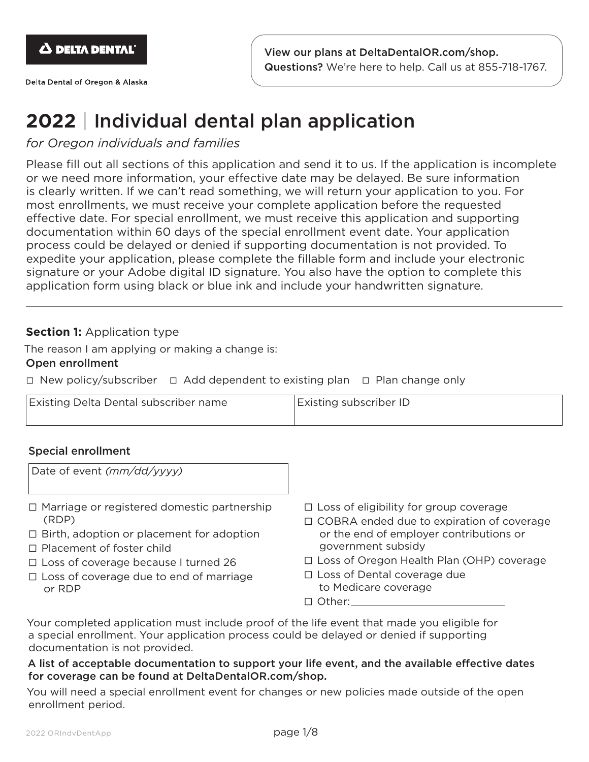

Delta Dental of Oregon & Alaska

## **2022** | Individual dental plan application

## *for Oregon individuals and families*

Please fill out all sections of this application and send it to us. If the application is incomplete or we need more information, your effective date may be delayed. Be sure information is clearly written. If we can't read something, we will return your application to you. For most enrollments, we must receive your complete application before the requested effective date. For special enrollment, we must receive this application and supporting documentation within 60 days of the special enrollment event date. Your application process could be delayed or denied if supporting documentation is not provided. To expedite your application, please complete the fillable form and include your electronic signature or your Adobe digital ID signature. You also have the option to complete this application form using black or blue ink and include your handwritten signature.

## **Section 1: Application type**

The reason I am applying or making a change is:

#### Open enrollment

☐ New policy/subscriber ☐ Add dependent to existing plan ☐ Plan change only

| <b>Existing Delta Dental subscriber name</b> | <b>Existing subscriber ID</b> |
|----------------------------------------------|-------------------------------|
|                                              |                               |

#### Special enrollment

| Date of event (mm/dd/yyyy)                         |                                               |
|----------------------------------------------------|-----------------------------------------------|
| $\Box$ Marriage or registered domestic partnership | $\Box$ Loss of eligibility for group coverage |
| (RDP)                                              | □ COBRA ended due to expiration of coverage   |
| $\Box$ Birth, adoption or placement for adoption   | or the end of employer contributions or       |
| $\Box$ Placement of foster child                   | government subsidy                            |
| $\Box$ Loss of coverage because I turned 26        | □ Loss of Oregon Health Plan (OHP) coverage   |
| $\Box$ Loss of coverage due to end of marriage     | $\Box$ Loss of Dental coverage due            |
| or RDP                                             | to Medicare coverage                          |

□ Other:

Your completed application must include proof of the life event that made you eligible for a special enrollment. Your application process could be delayed or denied if supporting documentation is not provided.

#### A list of acceptable documentation to support your life event, and the available effective dates for coverage can be found at DeltaDentalOR.com/shop.

You will need a special enrollment event for changes or new policies made outside of the open enrollment period.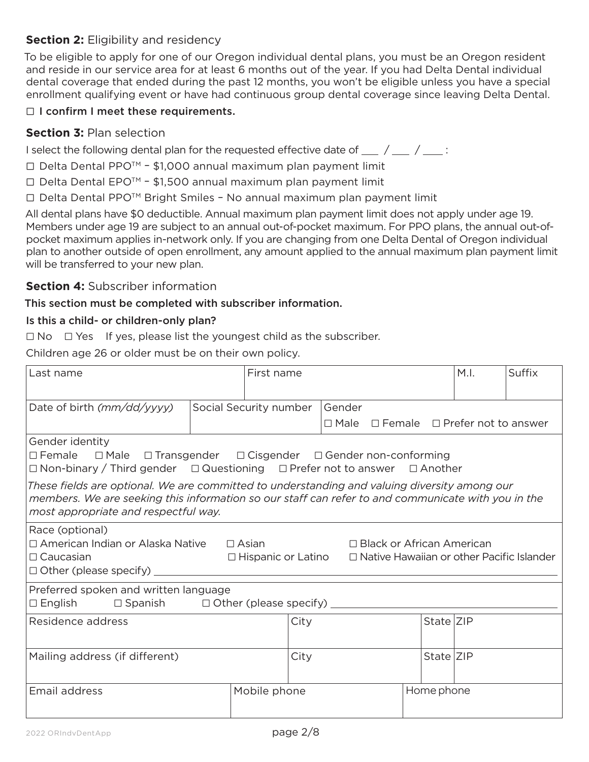## **Section 2:** Eligibility and residency

To be eligible to apply for one of our Oregon individual dental plans, you must be an Oregon resident and reside in our service area for at least 6 months out of the year. If you had Delta Dental individual dental coverage that ended during the past 12 months, you won't be eligible unless you have a special enrollment qualifying event or have had continuous group dental coverage since leaving Delta Dental.

## □ I confirm I meet these requirements.

## **Section 3:** Plan selection

I select the following dental plan for the requested effective date of  $\frac{1}{2}$  /  $\frac{1}{2}$ 

- $\Box$  Delta Dental PPO<sup>TM</sup> \$1,000 annual maximum plan payment limit
- $\Box$  Delta Dental EPO<sup>TM</sup> \$1,500 annual maximum plan payment limit
- Ƨ Delta Dental PPOTM Bright Smiles No annual maximum plan payment limit

All dental plans have \$0 deductible. Annual maximum plan payment limit does not apply under age 19. Members under age 19 are subject to an annual out-of-pocket maximum. For PPO plans, the annual out-ofpocket maximum applies in-network only. If you are changing from one Delta Dental of Oregon individual plan to another outside of open enrollment, any amount applied to the annual maximum plan payment limit will be transferred to your new plan.

## **Section 4:** Subscriber information

#### This section must be completed with subscriber information.

#### Is this a child- or children-only plan?

 $\Box$  No  $\Box$  Yes If yes, please list the youngest child as the subscriber.

Children age 26 or older must be on their own policy.

| Last name                                                                                                                                                                                                                                       | First name                                           |                          |                                                                                 |            | M.I. | Suffix |
|-------------------------------------------------------------------------------------------------------------------------------------------------------------------------------------------------------------------------------------------------|------------------------------------------------------|--------------------------|---------------------------------------------------------------------------------|------------|------|--------|
| Date of birth (mm/dd/yyyy)                                                                                                                                                                                                                      | Social Security number                               | Gender<br>$\square$ Male | $\Box$ Female $\Box$ Prefer not to answer                                       |            |      |        |
| Gender identity<br>$\Box$ Female $\Box$ Male $\Box$ Transgender $\Box$ Cisgender $\Box$ Gender non-conforming<br>$\Box$ Non-binary / Third gender $\Box$ Questioning $\Box$ Prefer not to answer $\Box$ Another                                 |                                                      |                          |                                                                                 |            |      |        |
| These fields are optional. We are committed to understanding and valuing diversity among our $\;$<br>members. We are seeking this information so our staff can refer to and communicate with you in the<br>most appropriate and respectful way. |                                                      |                          |                                                                                 |            |      |        |
| Race (optional)<br>□ American Indian or Alaska Native<br>$\Box$ Caucasian<br>$\Box$ Other (please specify) $\_\_\_\_\_\_\_\_\_\_\_\_\_\_\_\_\_\_\_\_$                                                                                           | $\Box$ Asian<br>$\Box$ Hispanic or Latino            |                          | □ Black or African American<br>$\Box$ Native Hawaiian or other Pacific Islander |            |      |        |
| Preferred spoken and written language<br>$\square$ English                                                                                                                                                                                      | $\Box$ Spanish $\Box$ Other (please specify) _______ |                          |                                                                                 |            |      |        |
| Residence address                                                                                                                                                                                                                               |                                                      | City                     |                                                                                 | State ZIP  |      |        |
| Mailing address (if different)                                                                                                                                                                                                                  |                                                      | City                     |                                                                                 | State ZIP  |      |        |
| Email address                                                                                                                                                                                                                                   | Mobile phone                                         |                          |                                                                                 | Home phone |      |        |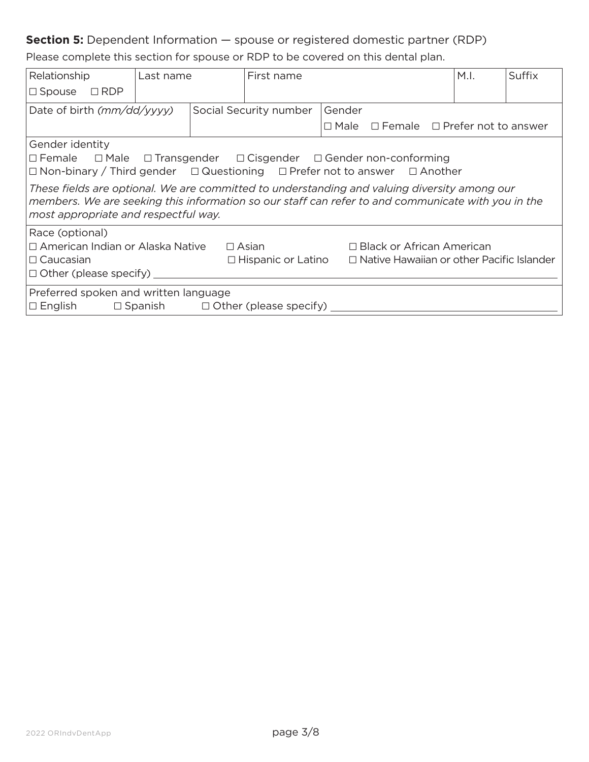## **Section 5:** Dependent Information - spouse or registered domestic partner (RDP)

Please complete this section for spouse or RDP to be covered on this dental plan.

| Relationship                                                                                                                                                                                                                                                                                                                                                                                                                         | Last name |  | First name                                                                                 |        |                                                       | M.I. | Suffix |
|--------------------------------------------------------------------------------------------------------------------------------------------------------------------------------------------------------------------------------------------------------------------------------------------------------------------------------------------------------------------------------------------------------------------------------------|-----------|--|--------------------------------------------------------------------------------------------|--------|-------------------------------------------------------|------|--------|
| $\Box$ RDP<br>$\Box$ Spouse                                                                                                                                                                                                                                                                                                                                                                                                          |           |  |                                                                                            |        |                                                       |      |        |
| Date of birth (mm/dd/yyyy)                                                                                                                                                                                                                                                                                                                                                                                                           |           |  | Social Security number                                                                     | Gender |                                                       |      |        |
|                                                                                                                                                                                                                                                                                                                                                                                                                                      |           |  |                                                                                            |        | $\Box$ Male $\Box$ Female $\Box$ Prefer not to answer |      |        |
| Gender identity<br>□ Female □ Male □ Transgender □ Cisgender □ Gender non-conforming<br>$\Box$ Non-binary / Third gender $\Box$ Questioning $\Box$ Prefer not to answer $\Box$ Another<br>These fields are optional. We are committed to understanding and valuing diversity among our<br>members. We are seeking this information so our staff can refer to and communicate with you in the<br>most appropriate and respectful way. |           |  |                                                                                            |        |                                                       |      |        |
| Race (optional)<br>□ American Indian or Alaska Native<br>$\Box$ Caucasian<br>$\Box$ Other (please specify)                                                                                                                                                                                                                                                                                                                           |           |  | $\Box$ Asian<br>$\Box$ Hispanic or Latino $\Box$ Native Hawaiian or other Pacific Islander |        | $\Box$ Black or African American                      |      |        |
| Preferred spoken and written language<br>$\square$ English                                                                                                                                                                                                                                                                                                                                                                           |           |  | $\Box$ Spanish $\Box$ Other (please specify)                                               |        |                                                       |      |        |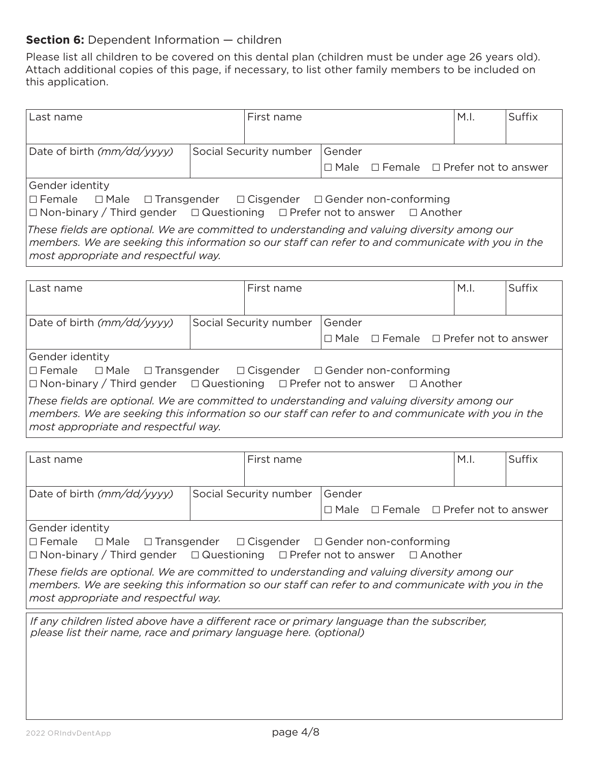## **Section 6:** Dependent Information - children

Please list all children to be covered on this dental plan (children must be under age 26 years old). Attach additional copies of this page, if necessary, to list other family members to be included on this application.

| Last name                                                                                          | First name             |                |                                                                  | M.I.                   | Suffix |
|----------------------------------------------------------------------------------------------------|------------------------|----------------|------------------------------------------------------------------|------------------------|--------|
|                                                                                                    |                        |                |                                                                  |                        |        |
| Date of birth (mm/dd/yyyy)                                                                         | Social Security number | Gender         |                                                                  |                        |        |
|                                                                                                    |                        | $\square$ Male | $\Box$ Female $\Box$ Prefer not to answer                        |                        |        |
| Gender identity                                                                                    |                        |                |                                                                  |                        |        |
| $\Box$ Female<br>$\Box$ Male                                                                       |                        |                | $\Box$ Transgender $\Box$ Cisgender $\Box$ Gender non-conforming |                        |        |
| $\Box$ Non-binary / Third gender $\Box$ Questioning $\Box$ Prefer not to answer                    |                        |                | $\Box$ Another                                                   |                        |        |
| These fields are optional. We are committed to understanding and valuing diversity among our       |                        |                |                                                                  |                        |        |
| members. We are seeking this information so our staff can refer to and communicate with you in the |                        |                |                                                                  |                        |        |
| most appropriate and respectful way.                                                               |                        |                |                                                                  |                        |        |
|                                                                                                    |                        |                |                                                                  |                        |        |
| Last name                                                                                          | First name             |                |                                                                  | M.I.                   | Suffix |
|                                                                                                    |                        |                |                                                                  |                        |        |
| Date of birth (mm/dd/yyyy)                                                                         | Social Security number | Gender         |                                                                  |                        |        |
|                                                                                                    |                        | $\Box$ Male    | $\Box$ Female                                                    | □ Prefer not to answer |        |
| Gender identity                                                                                    |                        |                |                                                                  |                        |        |
| $\Box$ Female<br>$\Box$ Male                                                                       |                        |                | $\Box$ Transgender $\Box$ Cisgender $\Box$ Gender non-conforming |                        |        |
| $\Box$ Non-binary / Third gender $\Box$ Questioning $\Box$ Prefer not to answer                    |                        |                | $\Box$ Another                                                   |                        |        |
| These fields are optional. We are committed to understanding and valuing diversity among our       |                        |                |                                                                  |                        |        |
| members. We are seeking this information so our staff can refer to and communicate with you in the |                        |                |                                                                  |                        |        |
| most appropriate and respectful way.                                                               |                        |                |                                                                  |                        |        |
|                                                                                                    |                        |                |                                                                  |                        |        |
| Last name                                                                                          | First name             |                |                                                                  | M.I.                   | Suffix |
|                                                                                                    |                        |                |                                                                  |                        |        |
| Date of birth (mm/dd/yyyy)                                                                         | Social Security number | Gender         |                                                                  |                        |        |
|                                                                                                    |                        | $\square$ Male | $\Box$ Female                                                    | □ Prefer not to answer |        |
| Gender identity                                                                                    |                        |                |                                                                  |                        |        |

 $\Box$  Female  $\Box$  Male  $\Box$  Transgender  $\Box$  Cisgender  $\Box$  Gender non-conforming  $\Box$  Non-binary / Third gender  $\Box$  Questioning  $\Box$  Prefer not to answer  $\Box$  Another

*These fields are optional. We are committed to understanding and valuing diversity among our members. We are seeking this information so our staff can refer to and communicate with you in the most appropriate and respectful way.*

*If any children listed above have a different race or primary language than the subscriber, please list their name, race and primary language here. (optional)*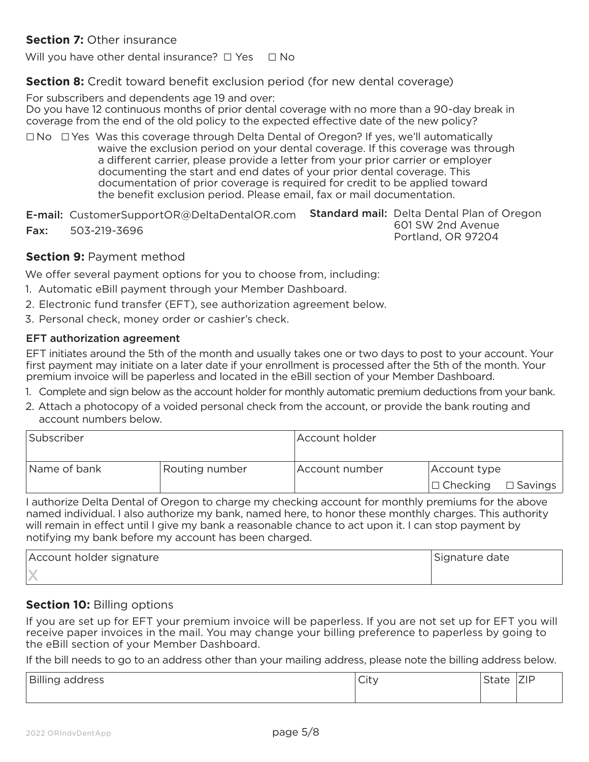## **Section 7: Other insurance**

Will you have other dental insurance?  $\Box$  Yes  $\Box$  No

#### **Section 8:** Credit toward benefit exclusion period (for new dental coverage)

For subscribers and dependents age 19 and over:

Do you have 12 continuous months of prior dental coverage with no more than a 90-day break in coverage from the end of the old policy to the expected effective date of the new policy?

 $\square$  No  $\square$  Yes Was this coverage through Delta Dental of Oregon? If yes, we'll automatically waive the exclusion period on your dental coverage. If this coverage was through a different carrier, please provide a letter from your prior carrier or employer documenting the start and end dates of your prior dental coverage. This documentation of prior coverage is required for credit to be applied toward the benefit exclusion period. Please email, fax or mail documentation.

E-mail: CustomerSupportOR@DeltaDentalOR.com Standard mail: Delta Dental Plan of Oregon Fax: 503-219-3696 601 SW 2nd Avenue Portland, OR 97204

#### **Section 9: Payment method**

We offer several payment options for you to choose from, including:

- 1. Automatic eBill payment through your Member Dashboard.
- 2. Electronic fund transfer (EFT), see authorization agreement below.
- 3. Personal check, money order or cashier's check.

#### EFT authorization agreement

EFT initiates around the 5th of the month and usually takes one or two days to post to your account. Your first payment may initiate on a later date if your enrollment is processed after the 5th of the month. Your premium invoice will be paperless and located in the eBill section of your Member Dashboard.

- 1. Complete and sign below as the account holder for monthly automatic premium deductions from your bank.
- 2. Attach a photocopy of a voided personal check from the account, or provide the bank routing and account numbers below.

| Subscriber   |                | Account holder |                  |                   |  |  |
|--------------|----------------|----------------|------------------|-------------------|--|--|
| Name of bank | Routing number | Account number | Account type     |                   |  |  |
|              |                |                | $ \Box$ Checking | $\square$ Savings |  |  |

I authorize Delta Dental of Oregon to charge my checking account for monthly premiums for the above named individual. I also authorize my bank, named here, to honor these monthly charges. This authority will remain in effect until I give my bank a reasonable chance to act upon it. I can stop payment by notifying my bank before my account has been charged.

| Account holder signature | Signature date |
|--------------------------|----------------|
|                          |                |

#### **Section 10: Billing options**

If you are set up for EFT your premium invoice will be paperless. If you are not set up for EFT you will receive paper invoices in the mail. You may change your billing preference to paperless by going to the eBill section of your Member Dashboard.

If the bill needs to go to an address other than your mailing address, please note the billing address below.

| <b>Rilli</b><br>address<br>$-$<br>פיייייים | $\sim$<br>اب<br>$\sim$ | $\sim$ $\sim$<br>dle | ZIP |
|--------------------------------------------|------------------------|----------------------|-----|
|                                            |                        |                      |     |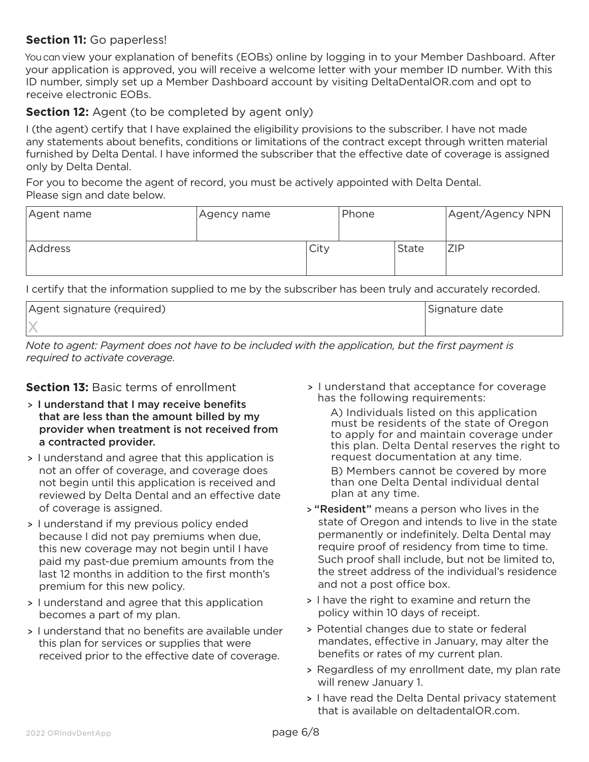## **Section 11:** Go paperless!

You can view your explanation of benefits (EOBs) online by logging in to your Member Dashboard. After your application is approved, you will receive a welcome letter with your member ID number. With this ID number, simply set up a Member Dashboard account by visiting DeltaDentalOR.com and opt to receive electronic EOBs.

## **Section 12:** Agent (to be completed by agent only)

I (the agent) certify that I have explained the eligibility provisions to the subscriber. I have not made any statements about benefits, conditions or limitations of the contract except through written material furnished by Delta Dental. I have informed the subscriber that the effective date of coverage is assigned only by Delta Dental.

For you to become the agent of record, you must be actively appointed with Delta Dental. Please sign and date below.

| Agent name | Agency name |      | Phone |              | Agent/Agency NPN |
|------------|-------------|------|-------|--------------|------------------|
| Address    |             | City |       | <b>State</b> | ZIP              |

I certify that the information supplied to me by the subscriber has been truly and accurately recorded.

| Agent signature (required) | Signature date |
|----------------------------|----------------|
|                            |                |

*Note to agent: Payment does not have to be included with the application, but the first payment is required to activate coverage.*

### **Section 13: Basic terms of enrollment**

- > I understand that I may receive benefits that are less than the amount billed by my provider when treatment is not received from a contracted provider.
- > I understand and agree that this application is not an offer of coverage, and coverage does not begin until this application is received and reviewed by Delta Dental and an effective date of coverage is assigned.
- > I understand if my previous policy ended because I did not pay premiums when due, this new coverage may not begin until I have paid my past-due premium amounts from the last 12 months in addition to the first month's premium for this new policy.
- > I understand and agree that this application becomes a part of my plan.
- > I understand that no benefits are available under this plan for services or supplies that were received prior to the effective date of coverage.

> I understand that acceptance for coverage has the following requirements:

A) Individuals listed on this application must be residents of the state of Oregon to apply for and maintain coverage under this plan. Delta Dental reserves the right to request documentation at any time.

B) Members cannot be covered by more than one Delta Dental individual dental plan at any time.

- > "Resident" means a person who lives in the state of Oregon and intends to live in the state permanently or indefinitely. Delta Dental may require proof of residency from time to time. Such proof shall include, but not be limited to, the street address of the individual's residence and not a post office box.
- > I have the right to examine and return the policy within 10 days of receipt.
- > Potential changes due to state or federal mandates, effective in January, may alter the benefits or rates of my current plan.
- > Regardless of my enrollment date, my plan rate will renew January 1.
- > I have read the Delta Dental privacy statement that is available on deltadentalOR.com.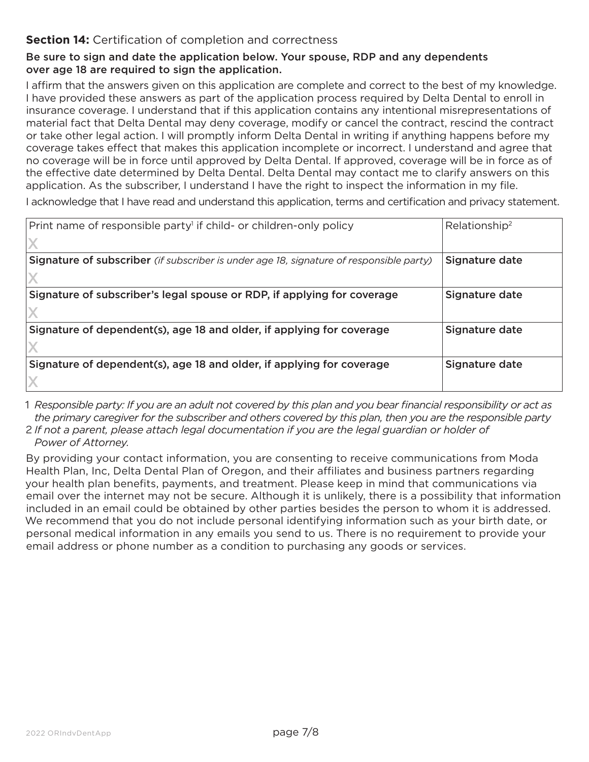## **Section 14:** Certification of completion and correctness

#### Be sure to sign and date the application below. Your spouse, RDP and any dependents over age 18 are required to sign the application.

I affirm that the answers given on this application are complete and correct to the best of my knowledge. I have provided these answers as part of the application process required by Delta Dental to enroll in insurance coverage. I understand that if this application contains any intentional misrepresentations of material fact that Delta Dental may deny coverage, modify or cancel the contract, rescind the contract or take other legal action. I will promptly inform Delta Dental in writing if anything happens before my coverage takes effect that makes this application incomplete or incorrect. I understand and agree that no coverage will be in force until approved by Delta Dental. If approved, coverage will be in force as of the effective date determined by Delta Dental. Delta Dental may contact me to clarify answers on this application. As the subscriber, I understand I have the right to inspect the information in my file.

I acknowledge that I have read and understand this application, terms and certification and privacy statement.

| Print name of responsible party <sup>1</sup> if child- or children-only policy          | Relationship <sup>2</sup> |
|-----------------------------------------------------------------------------------------|---------------------------|
|                                                                                         |                           |
| Signature of subscriber (if subscriber is under age 18, signature of responsible party) | Signature date            |
|                                                                                         |                           |
| Signature of subscriber's legal spouse or RDP, if applying for coverage                 | Signature date            |
|                                                                                         |                           |
| Signature of dependent(s), age 18 and older, if applying for coverage                   | Signature date            |
|                                                                                         |                           |
| Signature of dependent(s), age 18 and older, if applying for coverage                   | Signature date            |
|                                                                                         |                           |

1 *Responsible party: If you are an adult not covered by this plan and you bear financial responsibility or act as the primary caregiver for the subscriber and others covered by this plan, then you are the responsible party* 2 *If not a parent, please attach legal documentation if you are the legal guardian or holder of* 

*Power of Attorney.*

By providing your contact information, you are consenting to receive communications from Moda Health Plan, Inc, Delta Dental Plan of Oregon, and their affiliates and business partners regarding your health plan benefits, payments, and treatment. Please keep in mind that communications via email over the internet may not be secure. Although it is unlikely, there is a possibility that information included in an email could be obtained by other parties besides the person to whom it is addressed. We recommend that you do not include personal identifying information such as your birth date, or personal medical information in any emails you send to us. There is no requirement to provide your email address or phone number as a condition to purchasing any goods or services.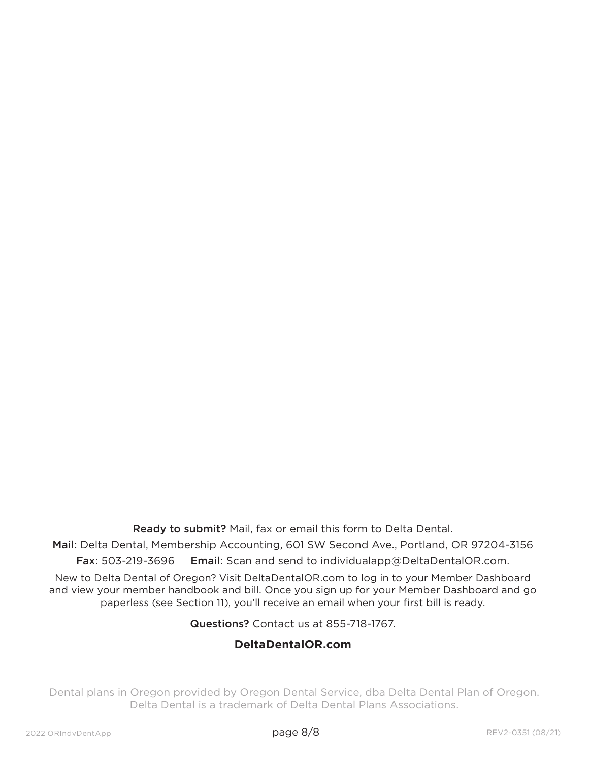Ready to submit? Mail, fax or email this form to Delta Dental.

Mail: Delta Dental, Membership Accounting, 601 SW Second Ave., Portland, OR 97204-3156 Fax: 503-219-3696 Email: Scan and send to individualapp@DeltaDentalOR.com.

New to Delta Dental of Oregon? Visit DeltaDentalOR.com to log in to your Member Dashboard and view your member handbook and bill. Once you sign up for your Member Dashboard and go paperless (see Section 11), you'll receive an email when your first bill is ready.

Questions? Contact us at 855-718-1767.

## **DeltaDentalOR.com**

Dental plans in Oregon provided by Oregon Dental Service, dba Delta Dental Plan of Oregon. Delta Dental is a trademark of Delta Dental Plans Associations.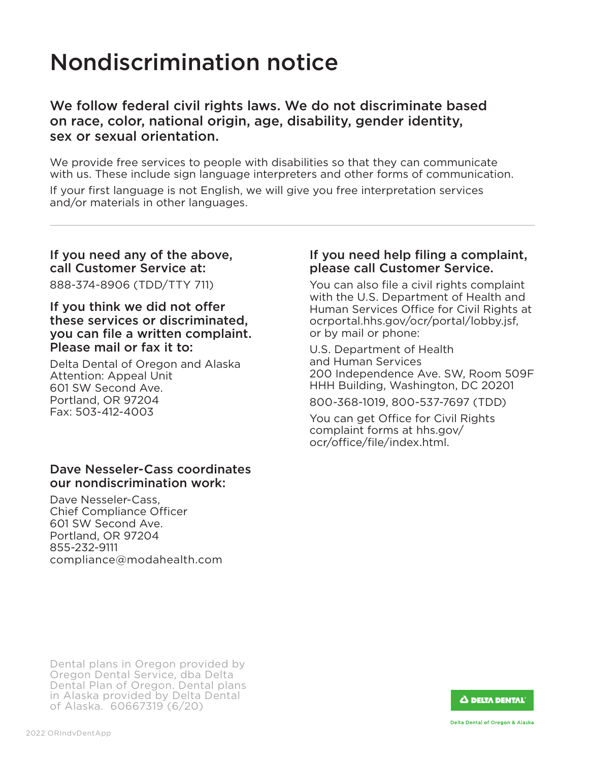# Nondiscrimination notice

## We follow federal civil rights laws. We do not discriminate based on race, color, national origin, age, disability, gender identity, sex or sexual orientation.

We provide free services to people with disabilities so that they can communicate with us. These include sign language interpreters and other forms of communication.

If your first language is not English, we will give you free interpretation services and/or materials in other languages.

## If you need any of the above, call Customer Service at:

888-374-8906 (TDD/TTY 711)

#### If you think we did not offer these services or discriminated, you can file a written complaint. Please mail or fax it to:

Delta Dental of Oregon and Alaska Attention: Appeal Unit 601 SW Second Ave. Portland, OR 97204 Fax: 503-412-4003

## Dave Nesseler-Cass coordinates our nondiscrimination work:

Dave Nesseler-Cass, Chief Compliance Officer 601 SW Second Ave. Portland, OR 97204 855-232-9111 compliance@modahealth.com

## If you need help filing a complaint, please call Customer Service.

You can also file a civil rights complaint with the U.S. Department of Health and Human Services Office for Civil Rights at ocrportal.hhs.gov/ocr/portal/lobby.jsf, or by mail or phone:

U.S. Department of Health and Human Services 200 Independence Ave. SW, Room 509F HHH Building, Washington, DC 20201

800-368-1019, 800-537-7697 (TDD)

You can get Office for Civil Rights complaint forms at hhs.gov/ ocr/office/file/index.html.

Dental plans in Oregon provided by Oregon Dental Service, dba Delta Dental Plan of Oregon. Dental plans in Alaska provided by Delta Dental of Alaska. 60667319 (6/20)

 $\Delta$  delta dental $^{\circ}$